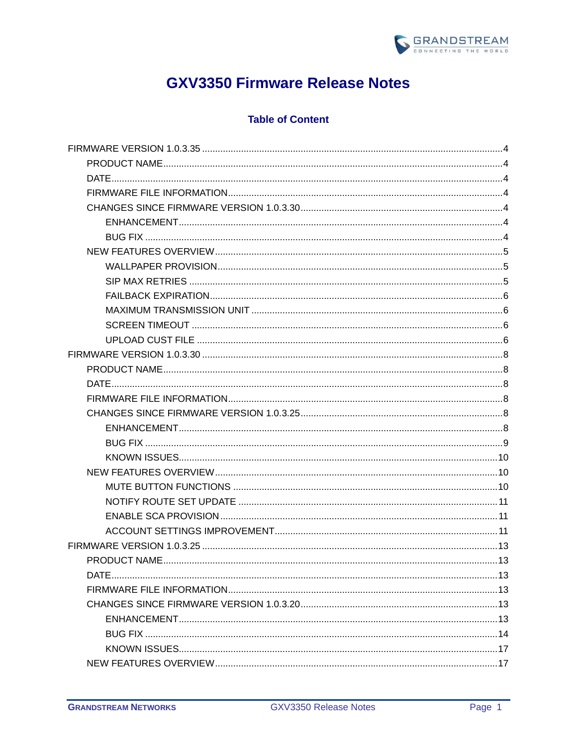

# **GXV3350 Firmware Release Notes**

## **Table of Content**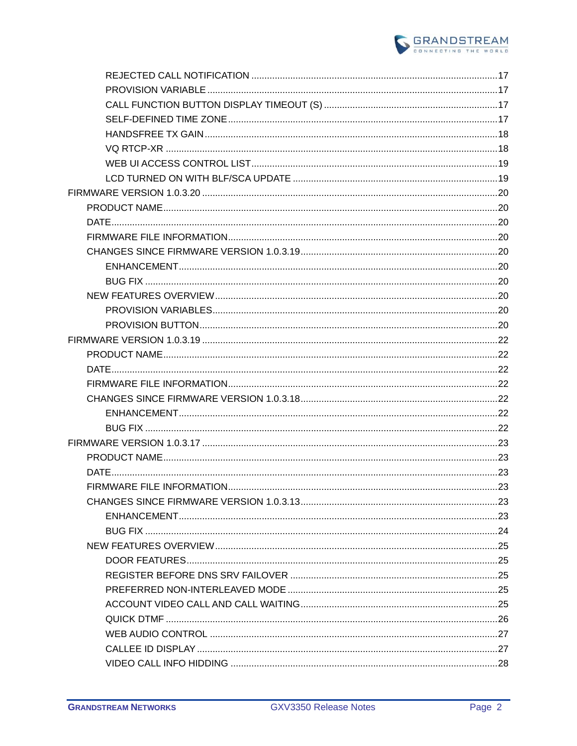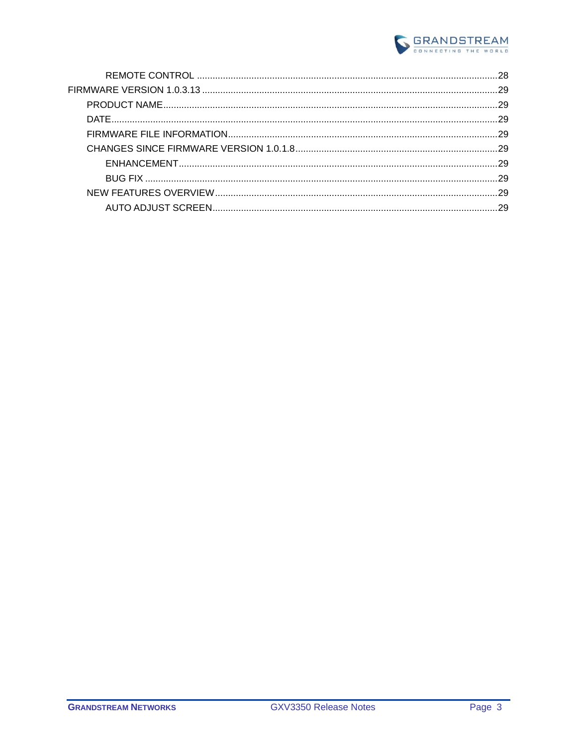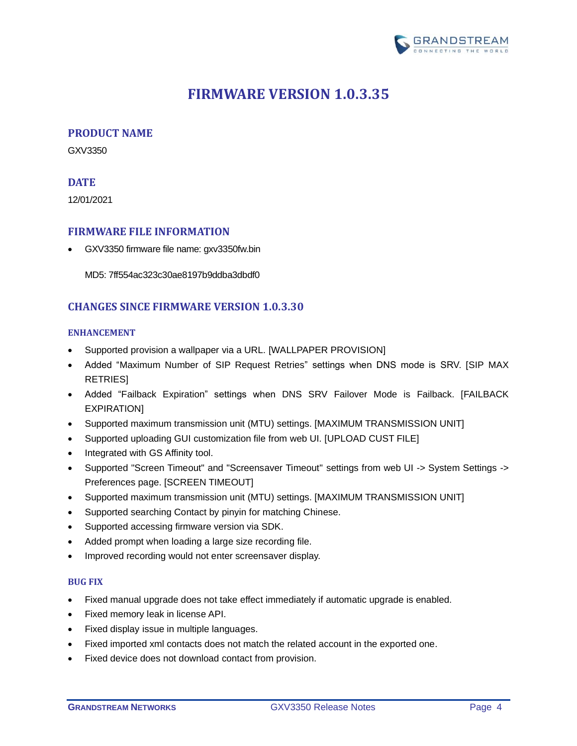

## <span id="page-3-1"></span><span id="page-3-0"></span>**PRODUCT NAME**

GXV3350

# <span id="page-3-2"></span>**DATE**

12/01/2021

## <span id="page-3-3"></span>**FIRMWARE FILE INFORMATION**

• GXV3350 firmware file name: gxv3350fw.bin

MD5: 7ff554ac323c30ae8197b9ddba3dbdf0

## <span id="page-3-4"></span>**CHANGES SINCE FIRMWARE VERSION 1.0.3.30**

## <span id="page-3-5"></span>**ENHANCEMENT**

- Supported provision a wallpaper via a URL. [\[WALLPAPER PROVISION\]](#page-4-1)
- Added "Maximum Number of SIP Request Retries" settings when DNS mode is SRV. [\[SIP MAX](#page-4-2)  **RETRIESI**
- Added "Failback Expiration" settings when DNS SRV Failover Mode is Failback. [\[FAILBACK](#page-5-0)  [EXPIRATION\]](#page-5-0)
- Supported maximum transmission unit (MTU) settings. [\[MAXIMUM TRANSMISSION UNIT\]](#page-5-1)
- Supported uploading GUI customization file from web UI. [\[UPLOAD CUST FILE\]](#page-5-3)
- Integrated with GS Affinity tool.
- Supported "Screen Timeout" and "Screensaver Timeout" settings from web UI -> System Settings -> Preferences page. [\[SCREEN TIMEOUT\]](#page-5-2)
- Supported maximum transmission unit (MTU) settings. [\[MAXIMUM TRANSMISSION UNIT\]](#page-5-1)
- Supported searching Contact by pinyin for matching Chinese.
- Supported accessing firmware version via SDK.
- Added prompt when loading a large size recording file.
- <span id="page-3-6"></span>• Improved recording would not enter screensaver display.

#### **BUG FIX**

- Fixed manual upgrade does not take effect immediately if automatic upgrade is enabled.
- Fixed memory leak in license API.
- Fixed display issue in multiple languages.
- Fixed imported xml contacts does not match the related account in the exported one.
- Fixed device does not download contact from provision.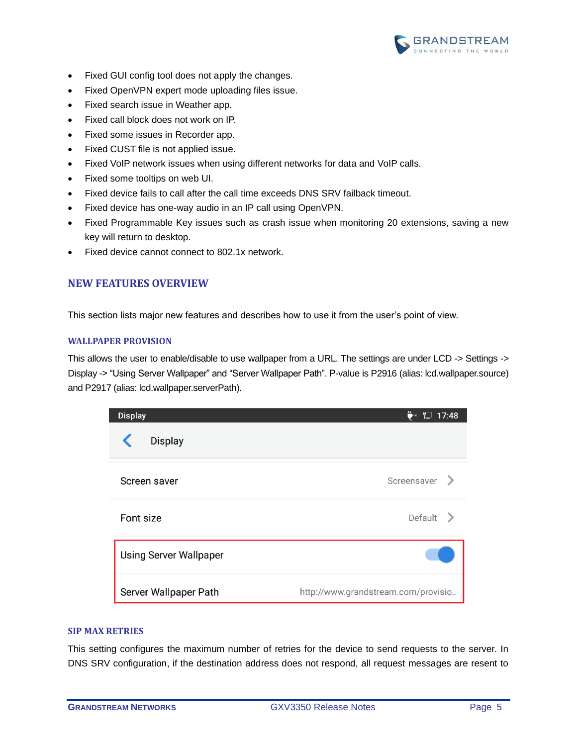

- Fixed GUI config tool does not apply the changes.
- Fixed OpenVPN expert mode uploading files issue.
- Fixed search issue in Weather app.
- Fixed call block does not work on IP.
- Fixed some issues in Recorder app.
- Fixed CUST file is not applied issue.
- Fixed VoIP network issues when using different networks for data and VoIP calls.
- Fixed some tooltips on web UI.
- Fixed device fails to call after the call time exceeds DNS SRV failback timeout.
- Fixed device has one-way audio in an IP call using OpenVPN.
- Fixed Programmable Key issues such as crash issue when monitoring 20 extensions, saving a new key will return to desktop.
- <span id="page-4-0"></span>• Fixed device cannot connect to 802.1x network.

## **NEW FEATURES OVERVIEW**

This section lists major new features and describes how to use it from the user's point of view.

#### <span id="page-4-1"></span>**WALLPAPER PROVISION**

This allows the user to enable/disable to use wallpaper from a URL. The settings are under LCD -> Settings -> Display -> "Using Server Wallpaper" and "Server Wallpaper Path". P-value is P2916 (alias: lcd.wallpaper.source) and P2917 (alias: lcd.wallpaper.serverPath).

| <b>Display</b>                | 삩<br>17:48<br>POE                   |
|-------------------------------|-------------------------------------|
| <b>Display</b>                |                                     |
| Screen saver                  | Screensaver                         |
| Font size                     | Default                             |
| <b>Using Server Wallpaper</b> |                                     |
| Server Wallpaper Path         | http://www.grandstream.com/provisio |

#### <span id="page-4-2"></span>**SIP MAX RETRIES**

This setting configures the maximum number of retries for the device to send requests to the server. In DNS SRV configuration, if the destination address does not respond, all request messages are resent to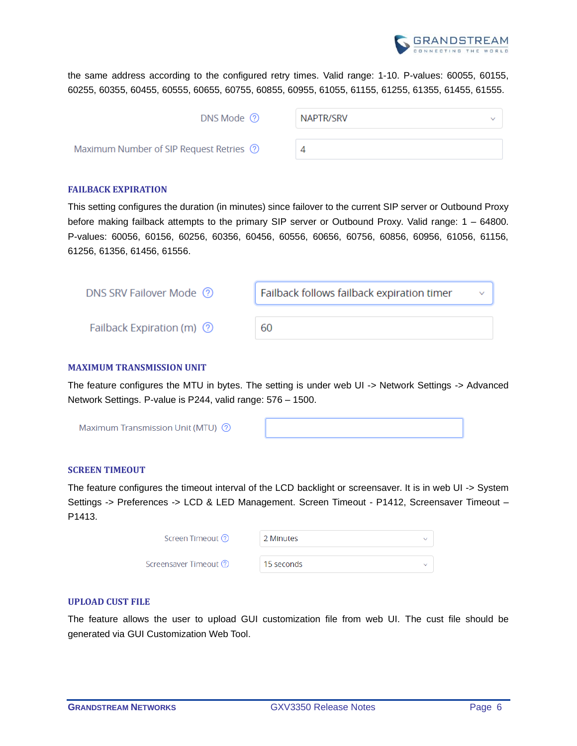

the same address according to the configured retry times. Valid range: 1-10. P-values: 60055, 60155, 60255, 60355, 60455, 60555, 60655, 60755, 60855, 60955, 61055, 61155, 61255, 61355, 61455, 61555.

| DNS Mode ②                              | NAPTR/SRV |
|-----------------------------------------|-----------|
| Maximum Number of SIP Request Retries ② |           |

### <span id="page-5-0"></span>**FAILBACK EXPIRATION**

This setting configures the duration (in minutes) since failover to the current SIP server or Outbound Proxy before making failback attempts to the primary SIP server or Outbound Proxy. Valid range: 1 – 64800. P-values: 60056, 60156, 60256, 60356, 60456, 60556, 60656, 60756, 60856, 60956, 61056, 61156, 61256, 61356, 61456, 61556.

| DNS SRV Failover Mode ②   | Failback follows failback expiration timer |  |
|---------------------------|--------------------------------------------|--|
| Failback Expiration (m) ② | 60                                         |  |

#### <span id="page-5-1"></span>**MAXIMUM TRANSMISSION UNIT**

The feature configures the MTU in bytes. The setting is under web UI -> Network Settings -> Advanced Network Settings. P-value is P244, valid range: 576 – 1500.

| Maximum Transmission Unit (MTU) ② |  |
|-----------------------------------|--|
|-----------------------------------|--|

#### <span id="page-5-2"></span>**SCREEN TIMEOUT**

The feature configures the timeout interval of the LCD backlight or screensaver. It is in web UI -> System Settings -> Preferences -> LCD & LED Management. Screen Timeout - P1412, Screensaver Timeout – P1413.

| Screen Timeout (?)    | 2 Minutes  |  |
|-----------------------|------------|--|
| Screensaver Timeout ② | 15 seconds |  |

#### <span id="page-5-3"></span>**UPLOAD CUST FILE**

The feature allows the user to upload GUI customization file from web UI. The cust file should be generated via GUI Customization Web Tool.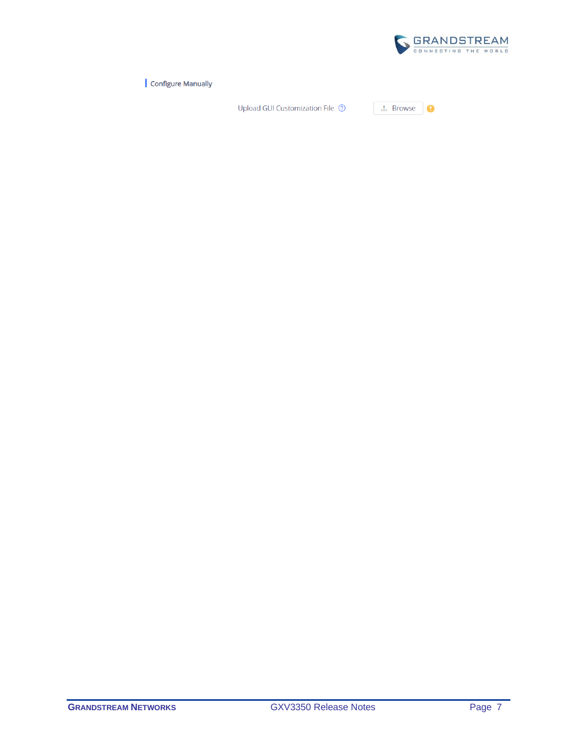

Configure Manually

Upload GUI Customization File 2

**∆** Browse **●**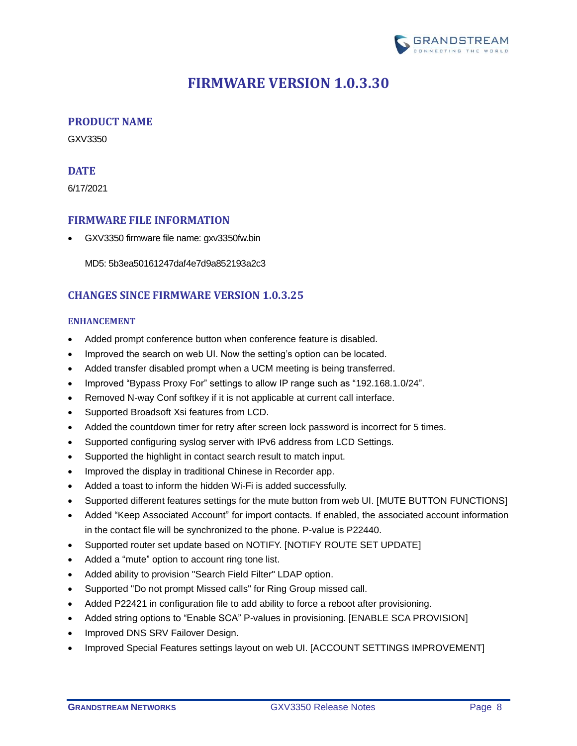

## <span id="page-7-1"></span><span id="page-7-0"></span>**PRODUCT NAME**

GXV3350

## <span id="page-7-2"></span>**DATE**

6/17/2021

## <span id="page-7-3"></span>**FIRMWARE FILE INFORMATION**

• GXV3350 firmware file name: gxv3350fw.bin

MD5: 5b3ea50161247daf4e7d9a852193a2c3

# <span id="page-7-4"></span>**CHANGES SINCE FIRMWARE VERSION 1.0.3.25**

### <span id="page-7-5"></span>**ENHANCEMENT**

- Added prompt conference button when conference feature is disabled.
- Improved the search on web UI. Now the setting's option can be located.
- Added transfer disabled prompt when a UCM meeting is being transferred.
- Improved "Bypass Proxy For" settings to allow IP range such as "192.168.1.0/24".
- Removed N-way Conf softkey if it is not applicable at current call interface.
- Supported Broadsoft Xsi features from LCD.
- Added the countdown timer for retry after screen lock password is incorrect for 5 times.
- Supported configuring syslog server with IPv6 address from LCD Settings.
- Supported the highlight in contact search result to match input.
- Improved the display in traditional Chinese in Recorder app.
- Added a toast to inform the hidden Wi-Fi is added successfully.
- Supported different features settings for the mute button from web UI. [\[MUTE BUTTON FUNCTIONS\]](#page-9-2)
- Added "Keep Associated Account" for import contacts. If enabled, the associated account information in the contact file will be synchronized to the phone. P-value is P22440.
- Supported router set update based on NOTIFY. [\[NOTIFY ROUTE SET UPDATE\]](#page-10-0)
- Added a "mute" option to account ring tone list.
- Added ability to provision "Search Field Filter" LDAP option.
- Supported "Do not prompt Missed calls" for Ring Group missed call.
- Added P22421 in configuration file to add ability to force a reboot after provisioning.
- Added string options to "Enable SCA" P-values in provisioning. [\[ENABLE SCA PROVISION\]](#page-10-1)
- Improved DNS SRV Failover Design.
- Improved Special Features settings layout on web UI. [ACCOUNT [SETTINGS IMPROVEMENT\]](#page-10-2)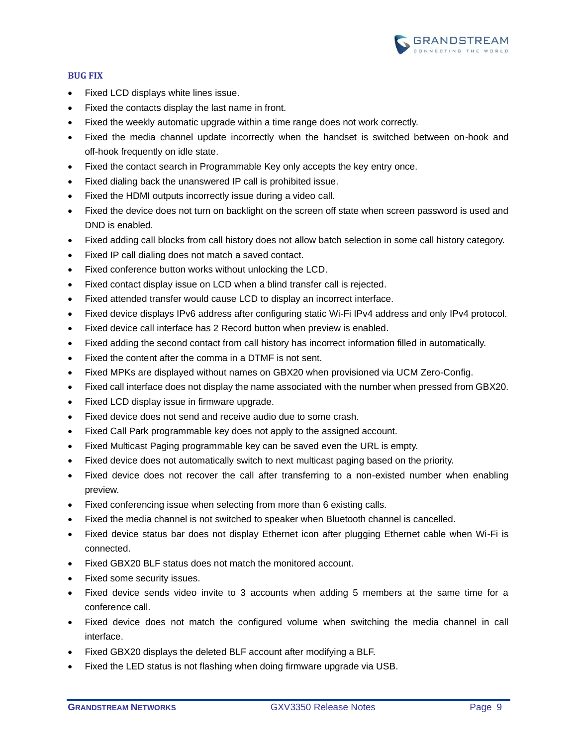

#### <span id="page-8-0"></span>**BUG FIX**

- Fixed LCD displays white lines issue.
- Fixed the contacts display the last name in front.
- Fixed the weekly automatic upgrade within a time range does not work correctly.
- Fixed the media channel update incorrectly when the handset is switched between on-hook and off-hook frequently on idle state.
- Fixed the contact search in Programmable Key only accepts the key entry once.
- Fixed dialing back the unanswered IP call is prohibited issue.
- Fixed the HDMI outputs incorrectly issue during a video call.
- Fixed the device does not turn on backlight on the screen off state when screen password is used and DND is enabled.
- Fixed adding call blocks from call history does not allow batch selection in some call history category.
- Fixed IP call dialing does not match a saved contact.
- Fixed conference button works without unlocking the LCD.
- Fixed contact display issue on LCD when a blind transfer call is rejected.
- Fixed attended transfer would cause LCD to display an incorrect interface.
- Fixed device displays IPv6 address after configuring static Wi-Fi IPv4 address and only IPv4 protocol.
- Fixed device call interface has 2 Record button when preview is enabled.
- Fixed adding the second contact from call history has incorrect information filled in automatically.
- Fixed the content after the comma in a DTMF is not sent.
- Fixed MPKs are displayed without names on GBX20 when provisioned via UCM Zero-Config.
- Fixed call interface does not display the name associated with the number when pressed from GBX20.
- Fixed LCD display issue in firmware upgrade.
- Fixed device does not send and receive audio due to some crash.
- Fixed Call Park programmable key does not apply to the assigned account.
- Fixed Multicast Paging programmable key can be saved even the URL is empty.
- Fixed device does not automatically switch to next multicast paging based on the priority.
- Fixed device does not recover the call after transferring to a non-existed number when enabling preview.
- Fixed conferencing issue when selecting from more than 6 existing calls.
- Fixed the media channel is not switched to speaker when Bluetooth channel is cancelled.
- Fixed device status bar does not display Ethernet icon after plugging Ethernet cable when Wi-Fi is connected.
- Fixed GBX20 BLF status does not match the monitored account.
- Fixed some security issues.
- Fixed device sends video invite to 3 accounts when adding 5 members at the same time for a conference call.
- Fixed device does not match the configured volume when switching the media channel in call interface.
- Fixed GBX20 displays the deleted BLF account after modifying a BLF.
- Fixed the LED status is not flashing when doing firmware upgrade via USB.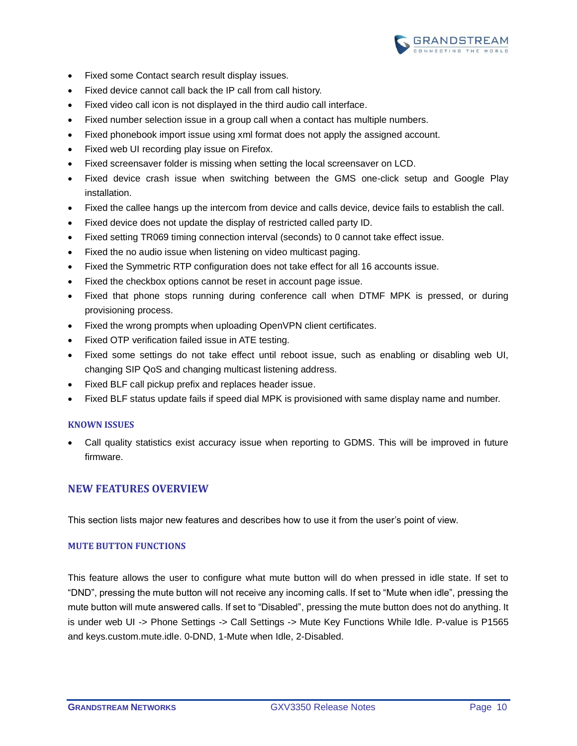

- Fixed some Contact search result display issues.
- Fixed device cannot call back the IP call from call history.
- Fixed video call icon is not displayed in the third audio call interface.
- Fixed number selection issue in a group call when a contact has multiple numbers.
- Fixed phonebook import issue using xml format does not apply the assigned account.
- Fixed web UI recording play issue on Firefox.
- Fixed screensaver folder is missing when setting the local screensaver on LCD.
- Fixed device crash issue when switching between the GMS one-click setup and Google Play installation.
- Fixed the callee hangs up the intercom from device and calls device, device fails to establish the call.
- Fixed device does not update the display of restricted called party ID.
- Fixed setting TR069 timing connection interval (seconds) to 0 cannot take effect issue.
- Fixed the no audio issue when listening on video multicast paging.
- Fixed the Symmetric RTP configuration does not take effect for all 16 accounts issue.
- Fixed the checkbox options cannot be reset in account page issue.
- Fixed that phone stops running during conference call when DTMF MPK is pressed, or during provisioning process.
- Fixed the wrong prompts when uploading OpenVPN client certificates.
- Fixed OTP verification failed issue in ATE testing.
- Fixed some settings do not take effect until reboot issue, such as enabling or disabling web UI, changing SIP QoS and changing multicast listening address.
- Fixed BLF call pickup prefix and replaces header issue.
- <span id="page-9-0"></span>• Fixed BLF status update fails if speed dial MPK is provisioned with same display name and number.

#### **KNOWN ISSUES**

• Call quality statistics exist accuracy issue when reporting to GDMS. This will be improved in future firmware.

## <span id="page-9-1"></span>**NEW FEATURES OVERVIEW**

This section lists major new features and describes how to use it from the user's point of view.

#### <span id="page-9-2"></span>**MUTE BUTTON FUNCTIONS**

This feature allows the user to configure what mute button will do when pressed in idle state. If set to "DND", pressing the mute button will not receive any incoming calls. If set to "Mute when idle", pressing the mute button will mute answered calls. If set to "Disabled", pressing the mute button does not do anything. It is under web UI -> Phone Settings -> Call Settings -> Mute Key Functions While Idle. P-value is P1565 and keys.custom.mute.idle. 0-DND, 1-Mute when Idle, 2-Disabled.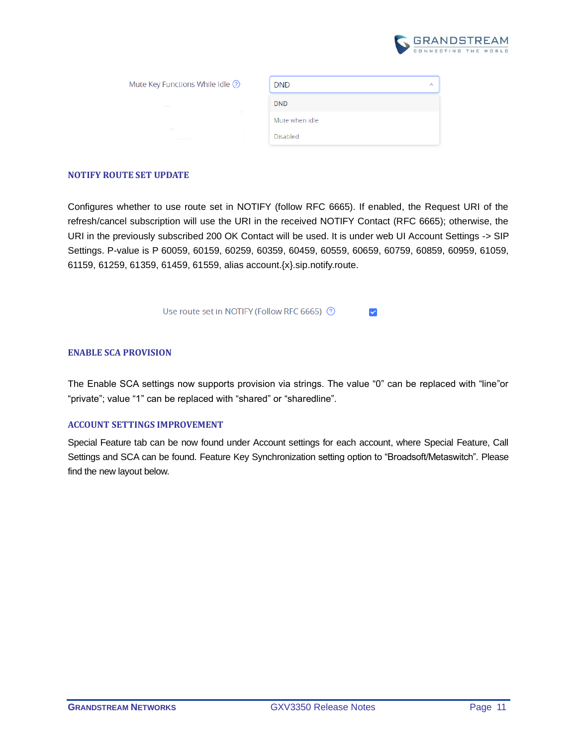

| Mute Key Functions While Idle 2 | <b>DND</b><br>↗ |
|---------------------------------|-----------------|
|                                 | <b>DND</b>      |
| $\mathbf{r}$                    | Mute when idle  |
|                                 | <b>Disabled</b> |

#### <span id="page-10-0"></span>**NOTIFY ROUTE SET UPDATE**

Configures whether to use route set in NOTIFY (follow RFC 6665). If enabled, the Request URI of the refresh/cancel subscription will use the URI in the received NOTIFY Contact (RFC 6665); otherwise, the URI in the previously subscribed 200 OK Contact will be used. It is under web UI Account Settings -> SIP Settings. P-value is P 60059, 60159, 60259, 60359, 60459, 60559, 60659, 60759, 60859, 60959, 61059, 61159, 61259, 61359, 61459, 61559, alias account.{x}.sip.notify.route.

> Use route set in NOTIFY (Follow RFC 6665) ②  $\checkmark$

### <span id="page-10-1"></span>**ENABLE SCA PROVISION**

The Enable SCA settings now supports provision via strings. The value "0" can be replaced with "line"or "private"; value "1" can be replaced with "shared" or "sharedline".

#### <span id="page-10-2"></span>**ACCOUNT SETTINGS IMPROVEMENT**

Special Feature tab can be now found under Account settings for each account, where Special Feature, Call Settings and SCA can be found. Feature Key Synchronization setting option to "Broadsoft/Metaswitch". Please find the new layout below.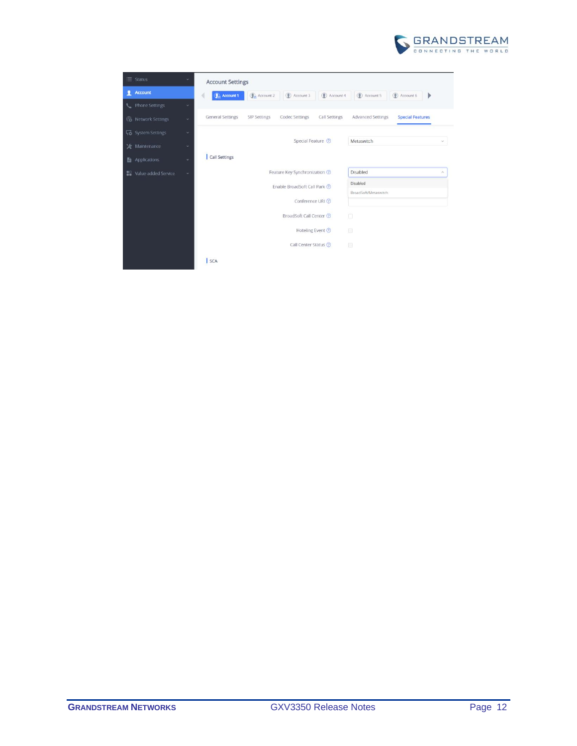

|   | $\equiv$ Status               |              | <b>Account Settings</b>                                                                                                                  |    |
|---|-------------------------------|--------------|------------------------------------------------------------------------------------------------------------------------------------------|----|
| Ω | <b>Account</b>                |              | <b>C</b> <sub>R</sub> Account 2<br>Account 4<br>Account 3<br>Account 5<br>Account 6<br>d<br><b>S</b> <sub>D</sub> Account 1<br>Þ         |    |
|   | Phone Settings                | ×            |                                                                                                                                          |    |
|   | <b>&amp;</b> Network Settings | $\checkmark$ | <b>General Settings</b><br>Codec Settings<br>Call Settings<br><b>Advanced Settings</b><br><b>Special Features</b><br><b>SIP Settings</b> |    |
|   | <b>5</b> System Settings      | $\checkmark$ |                                                                                                                                          |    |
|   | X Maintenance                 | ٠            | Special Feature <sup>2</sup><br>Metaswitch<br>$\mathcal{A}$                                                                              |    |
| 酚 | Applications                  | v            | Call Settings                                                                                                                            |    |
|   | 물을 Value-added Service        | $\checkmark$ | Feature Key Synchronization 2<br>Disabled                                                                                                | v. |
|   |                               |              | Disabled<br>Enable BroadSoft Call Park (?)                                                                                               |    |
|   |                               |              | BroadSoft/Metaswitch                                                                                                                     |    |
|   |                               |              | Conference URI 2                                                                                                                         |    |
|   |                               |              | BroadSoft Call Center 2<br>$\Box$                                                                                                        |    |
|   |                               |              | Hoteling Event 2<br>目                                                                                                                    |    |
|   |                               |              | Call Center Status ?<br>Đ                                                                                                                |    |
|   |                               |              | SCA                                                                                                                                      |    |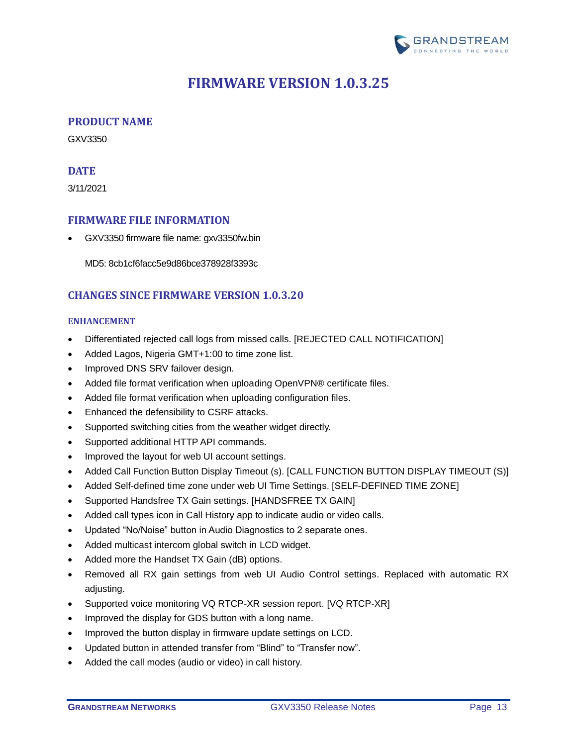

## <span id="page-12-1"></span><span id="page-12-0"></span>**PRODUCT NAME**

GXV3350

## <span id="page-12-2"></span>**DATE**

3/11/2021

## <span id="page-12-3"></span>**FIRMWARE FILE INFORMATION**

• GXV3350 firmware file name: gxv3350fw.bin

MD5: 8cb1cf6facc5e9d86bce378928f3393c

## <span id="page-12-4"></span>**CHANGES SINCE FIRMWARE VERSION 1.0.3.20**

### <span id="page-12-5"></span>**ENHANCEMENT**

- Differentiated rejected call logs from missed calls. [\[REJECTED CALL NOTIFICATION\]](#page-16-2)
- Added Lagos, Nigeria GMT+1:00 to time zone list.
- Improved DNS SRV failover design.
- Added file format verification when uploading OpenVPN® certificate files.
- Added file format verification when uploading configuration files.
- Enhanced the defensibility to CSRF attacks.
- Supported switching cities from the weather widget directly.
- Supported additional HTTP API commands.
- Improved the layout for web UI account settings.
- Added Call Function Button Display Timeout (s). [\[CALL FUNCTION BUTTON DISPLAY TIMEOUT \(S\)\]](#page-16-4)
- Added Self-defined time zone under web UI Time Settings. [\[SELF-DEFINED TIME ZONE\]](#page-16-5)
- Supported Handsfree TX Gain settings. [\[HANDSFREE TX GAIN\]](#page-17-0)
- Added call types icon in Call History app to indicate audio or video calls.
- Updated "No/Noise" button in Audio Diagnostics to 2 separate ones.
- Added multicast intercom global switch in LCD widget.
- Added more the Handset TX Gain (dB) options.
- Removed all RX gain settings from web UI Audio Control settings. Replaced with automatic RX adjusting.
- Supported voice monitoring VQ RTCP-XR session report. [\[VQ RTCP-XR\]](#page-17-1)
- Improved the display for GDS button with a long name.
- Improved the button display in firmware update settings on LCD.
- Updated button in attended transfer from "Blind" to "Transfer now".
- Added the call modes (audio or video) in call history.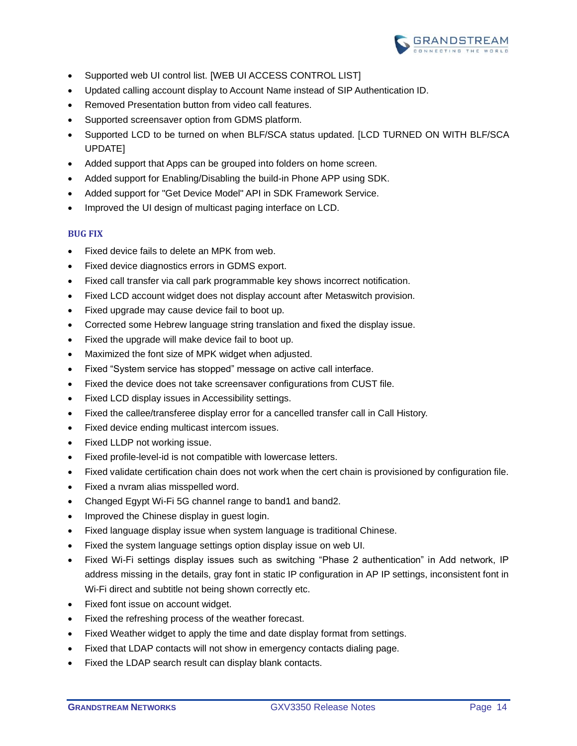

- Supported web UI control list. [\[WEB UI ACCESS CONTROL LIST\]](#page-18-0)
- Updated calling account display to Account Name instead of SIP Authentication ID.
- Removed Presentation button from video call features.
- Supported screensaver option from GDMS platform.
- Supported LCD to be turned on when BLF/SCA status updated. [\[LCD TURNED ON WITH BLF/SCA](#page-18-1)  [UPDATE\]](#page-18-1)
- Added support that Apps can be grouped into folders on home screen.
- Added support for Enabling/Disabling the build-in Phone APP using SDK.
- Added support for "Get Device Model" API in SDK Framework Service.
- <span id="page-13-0"></span>• Improved the UI design of multicast paging interface on LCD.

### **BUG FIX**

- Fixed device fails to delete an MPK from web.
- Fixed device diagnostics errors in GDMS export.
- Fixed call transfer via call park programmable key shows incorrect notification.
- Fixed LCD account widget does not display account after Metaswitch provision.
- Fixed upgrade may cause device fail to boot up.
- Corrected some Hebrew language string translation and fixed the display issue.
- Fixed the upgrade will make device fail to boot up.
- Maximized the font size of MPK widget when adjusted.
- Fixed "System service has stopped" message on active call interface.
- Fixed the device does not take screensaver configurations from CUST file.
- Fixed LCD display issues in Accessibility settings.
- Fixed the callee/transferee display error for a cancelled transfer call in Call History.
- Fixed device ending multicast intercom issues.
- Fixed LLDP not working issue.
- Fixed profile-level-id is not compatible with lowercase letters.
- Fixed validate certification chain does not work when the cert chain is provisioned by configuration file.
- Fixed a nvram alias misspelled word.
- Changed Egypt Wi-Fi 5G channel range to band1 and band2.
- Improved the Chinese display in guest login.
- Fixed language display issue when system language is traditional Chinese.
- Fixed the system language settings option display issue on web UI.
- Fixed Wi-Fi settings display issues such as switching "Phase 2 authentication" in Add network, IP address missing in the details, gray font in static IP configuration in AP IP settings, inconsistent font in Wi-Fi direct and subtitle not being shown correctly etc.
- Fixed font issue on account widget.
- Fixed the refreshing process of the weather forecast.
- Fixed Weather widget to apply the time and date display format from settings.
- Fixed that LDAP contacts will not show in emergency contacts dialing page.
- Fixed the LDAP search result can display blank contacts.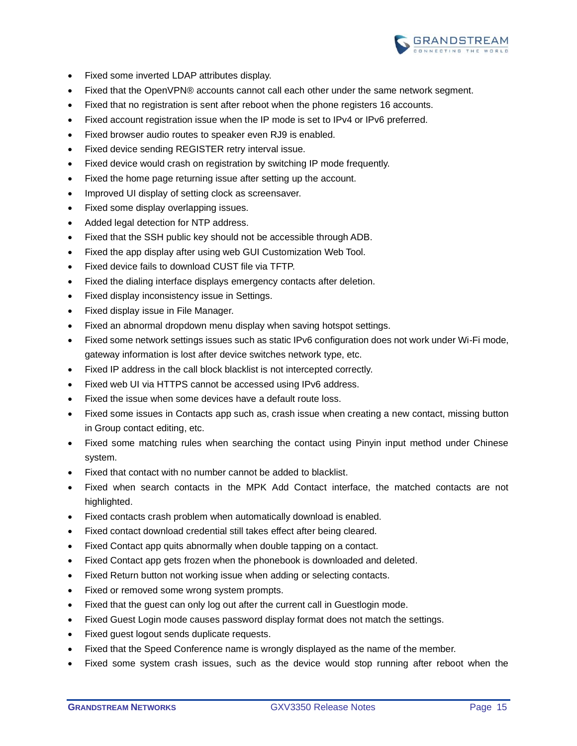

- Fixed some inverted LDAP attributes display.
- Fixed that the OpenVPN® accounts cannot call each other under the same network segment.
- Fixed that no registration is sent after reboot when the phone registers 16 accounts.
- Fixed account registration issue when the IP mode is set to IPv4 or IPv6 preferred.
- Fixed browser audio routes to speaker even RJ9 is enabled.
- Fixed device sending REGISTER retry interval issue.
- Fixed device would crash on registration by switching IP mode frequently.
- Fixed the home page returning issue after setting up the account.
- Improved UI display of setting clock as screensaver.
- Fixed some display overlapping issues.
- Added legal detection for NTP address.
- Fixed that the SSH public key should not be accessible through ADB.
- Fixed the app display after using web GUI Customization Web Tool.
- Fixed device fails to download CUST file via TFTP.
- Fixed the dialing interface displays emergency contacts after deletion.
- Fixed display inconsistency issue in Settings.
- Fixed display issue in File Manager.
- Fixed an abnormal dropdown menu display when saving hotspot settings.
- Fixed some network settings issues such as static IPv6 configuration does not work under Wi-Fi mode, gateway information is lost after device switches network type, etc.
- Fixed IP address in the call block blacklist is not intercepted correctly.
- Fixed web UI via HTTPS cannot be accessed using IPv6 address.
- Fixed the issue when some devices have a default route loss.
- Fixed some issues in Contacts app such as, crash issue when creating a new contact, missing button in Group contact editing, etc.
- Fixed some matching rules when searching the contact using Pinyin input method under Chinese system.
- Fixed that contact with no number cannot be added to blacklist.
- Fixed when search contacts in the MPK Add Contact interface, the matched contacts are not highlighted.
- Fixed contacts crash problem when automatically download is enabled.
- Fixed contact download credential still takes effect after being cleared.
- Fixed Contact app quits abnormally when double tapping on a contact.
- Fixed Contact app gets frozen when the phonebook is downloaded and deleted.
- Fixed Return button not working issue when adding or selecting contacts.
- Fixed or removed some wrong system prompts.
- Fixed that the guest can only log out after the current call in Guestlogin mode.
- Fixed Guest Login mode causes password display format does not match the settings.
- Fixed guest logout sends duplicate requests.
- Fixed that the Speed Conference name is wrongly displayed as the name of the member.
- Fixed some system crash issues, such as the device would stop running after reboot when the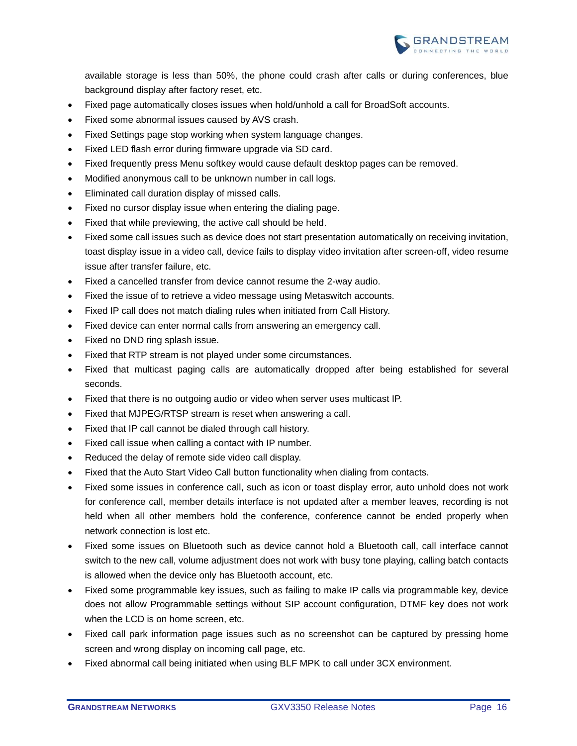

available storage is less than 50%, the phone could crash after calls or during conferences, blue background display after factory reset, etc.

- Fixed page automatically closes issues when hold/unhold a call for BroadSoft accounts.
- Fixed some abnormal issues caused by AVS crash.
- Fixed Settings page stop working when system language changes.
- Fixed LED flash error during firmware upgrade via SD card.
- Fixed frequently press Menu softkey would cause default desktop pages can be removed.
- Modified anonymous call to be unknown number in call logs.
- Eliminated call duration display of missed calls.
- Fixed no cursor display issue when entering the dialing page.
- Fixed that while previewing, the active call should be held.
- Fixed some call issues such as device does not start presentation automatically on receiving invitation, toast display issue in a video call, device fails to display video invitation after screen-off, video resume issue after transfer failure, etc.
- Fixed a cancelled transfer from device cannot resume the 2-way audio.
- Fixed the issue of to retrieve a video message using Metaswitch accounts.
- Fixed IP call does not match dialing rules when initiated from Call History.
- Fixed device can enter normal calls from answering an emergency call.
- Fixed no DND ring splash issue.
- Fixed that RTP stream is not played under some circumstances.
- Fixed that multicast paging calls are automatically dropped after being established for several seconds.
- Fixed that there is no outgoing audio or video when server uses multicast IP.
- Fixed that MJPEG/RTSP stream is reset when answering a call.
- Fixed that IP call cannot be dialed through call history.
- Fixed call issue when calling a contact with IP number.
- Reduced the delay of remote side video call display.
- Fixed that the Auto Start Video Call button functionality when dialing from contacts.
- Fixed some issues in conference call, such as icon or toast display error, auto unhold does not work for conference call, member details interface is not updated after a member leaves, recording is not held when all other members hold the conference, conference cannot be ended properly when network connection is lost etc.
- Fixed some issues on Bluetooth such as device cannot hold a Bluetooth call, call interface cannot switch to the new call, volume adjustment does not work with busy tone playing, calling batch contacts is allowed when the device only has Bluetooth account, etc.
- Fixed some programmable key issues, such as failing to make IP calls via programmable key, device does not allow Programmable settings without SIP account configuration, DTMF key does not work when the LCD is on home screen, etc.
- Fixed call park information page issues such as no screenshot can be captured by pressing home screen and wrong display on incoming call page, etc.
- Fixed abnormal call being initiated when using BLF MPK to call under 3CX environment.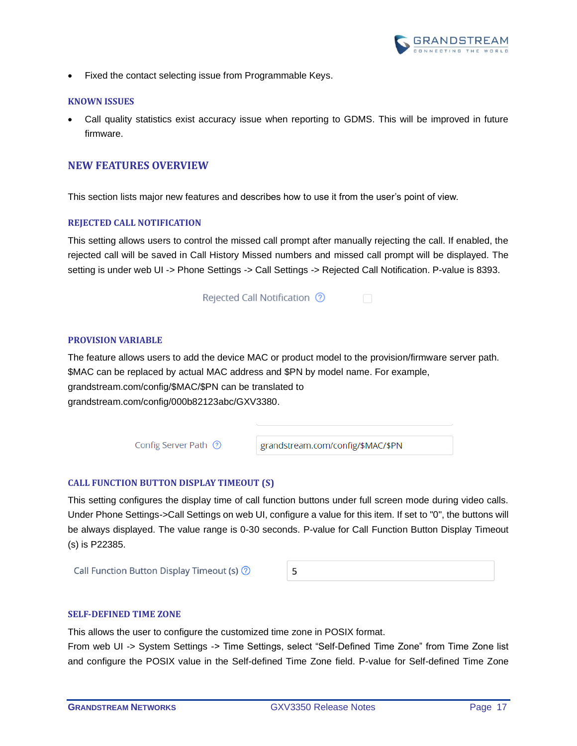

<span id="page-16-0"></span>• Fixed the contact selecting issue from Programmable Keys.

#### **KNOWN ISSUES**

• Call quality statistics exist accuracy issue when reporting to GDMS. This will be improved in future firmware.

### <span id="page-16-1"></span>**NEW FEATURES OVERVIEW**

This section lists major new features and describes how to use it from the user's point of view.

#### <span id="page-16-2"></span>**REJECTED CALL NOTIFICATION**

This setting allows users to control the missed call prompt after manually rejecting the call. If enabled, the rejected call will be saved in Call History Missed numbers and missed call prompt will be displayed. The setting is under web UI -> Phone Settings -> Call Settings -> Rejected Call Notification. P-value is 8393.

Rejected Call Notification (?)

#### <span id="page-16-3"></span>**PROVISION VARIABLE**

The feature allows users to add the device MAC or product model to the provision/firmware server path. \$MAC can be replaced by actual MAC address and \$PN by model name. For example, grandstream.com/config/\$MAC/\$PN can be translated to grandstream.com/config/000b82123abc/GXV3380.

Config Server Path (?)

grandstream.com/config/\$MAC/\$PN

#### <span id="page-16-4"></span>**CALL FUNCTION BUTTON DISPLAY TIMEOUT (S)**

This setting configures the display time of call function buttons under full screen mode during video calls. Under Phone Settings->Call Settings on web UI, configure a value for this item. If set to "0", the buttons will be always displayed. The value range is 0-30 seconds. P-value for Call Function Button Display Timeout (s) is P22385.

Call Function Button Display Timeout (s) 2

#### <span id="page-16-5"></span>**SELF-DEFINED TIME ZONE**

This allows the user to configure the customized time zone in POSIX format.

From web UI -> System Settings -> Time Settings, select "Self-Defined Time Zone" from Time Zone list and configure the POSIX value in the Self-defined Time Zone field. P-value for Self-defined Time Zone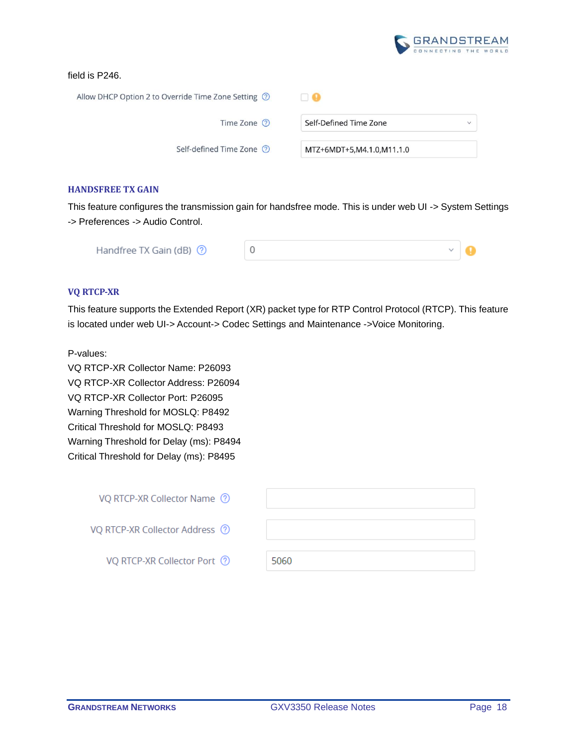

| field is P246.                                      |                                        |
|-----------------------------------------------------|----------------------------------------|
| Allow DHCP Option 2 to Override Time Zone Setting ② |                                        |
| Time Zone ②                                         | Self-Defined Time Zone<br>$\checkmark$ |
| Self-defined Time Zone (?)                          | MTZ+6MDT+5,M4.1.0,M11.1.0              |

#### <span id="page-17-0"></span>**HANDSFREE TX GAIN**

This feature configures the transmission gain for handsfree mode. This is under web UI -> System Settings -> Preferences -> Audio Control.

| Handfree TX Gain (dB) ② |  |  |  |
|-------------------------|--|--|--|
|-------------------------|--|--|--|

### <span id="page-17-1"></span>**VQ RTCP-XR**

This feature supports the Extended Report (XR) packet type for RTP Control Protocol (RTCP). This feature is located under web UI-> Account-> Codec Settings and Maintenance ->Voice Monitoring.

P-values:

VQ RTCP-XR Collector Name: P26093 VQ RTCP-XR Collector Address: P26094 VQ RTCP-XR Collector Port: P26095 Warning Threshold for MOSLQ: P8492 Critical Threshold for MOSLQ: P8493 Warning Threshold for Delay (ms): P8494 Critical Threshold for Delay (ms): P8495

| VQ RTCP-XR Collector Name (?)    |      |
|----------------------------------|------|
| VQ RTCP-XR Collector Address (?) |      |
| VQ RTCP-XR Collector Port ②      | 5060 |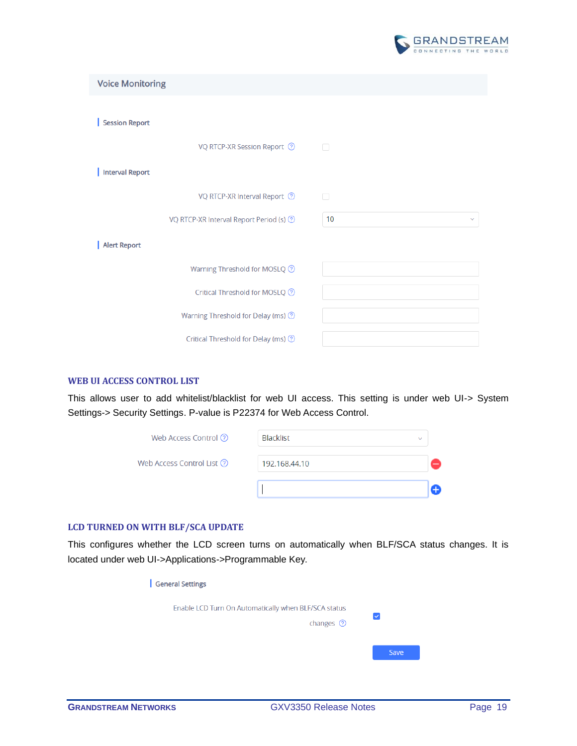

| <b>Voice Monitoring</b> |                                         |         |
|-------------------------|-----------------------------------------|---------|
| <b>Session Report</b>   |                                         |         |
|                         | VQ RTCP-XR Session Report ②             |         |
| <b>Interval Report</b>  |                                         |         |
|                         | VQ RTCP-XR Interval Report ②            | П       |
|                         | VQ RTCP-XR Interval Report Period (s) 2 | 10<br>v |
| <b>Alert Report</b>     |                                         |         |
|                         | Warning Threshold for MOSLQ 2           |         |
|                         | Critical Threshold for MOSLQ 2          |         |
|                         | Warning Threshold for Delay (ms) ?      |         |
|                         | Critical Threshold for Delay (ms) ?     |         |

#### <span id="page-18-0"></span>**WEB UI ACCESS CONTROL LIST**

This allows user to add whitelist/blacklist for web UI access. This setting is under web UI-> System Settings-> Security Settings. P-value is P22374 for Web Access Control.

| Web Access Control (?)    | <b>Blacklist</b> |  |
|---------------------------|------------------|--|
| Web Access Control List ? | 192.168.44.10    |  |
|                           |                  |  |

#### <span id="page-18-1"></span>**LCD TURNED ON WITH BLF/SCA UPDATE**

This configures whether the LCD screen turns on automatically when BLF/SCA status changes. It is located under web UI->Applications->Programmable Key.

| General Settings                                     |              |
|------------------------------------------------------|--------------|
| Enable LCD Turn On Automatically when BLF/SCA status |              |
| changes $\odot$                                      | $\checkmark$ |
|                                                      | Save         |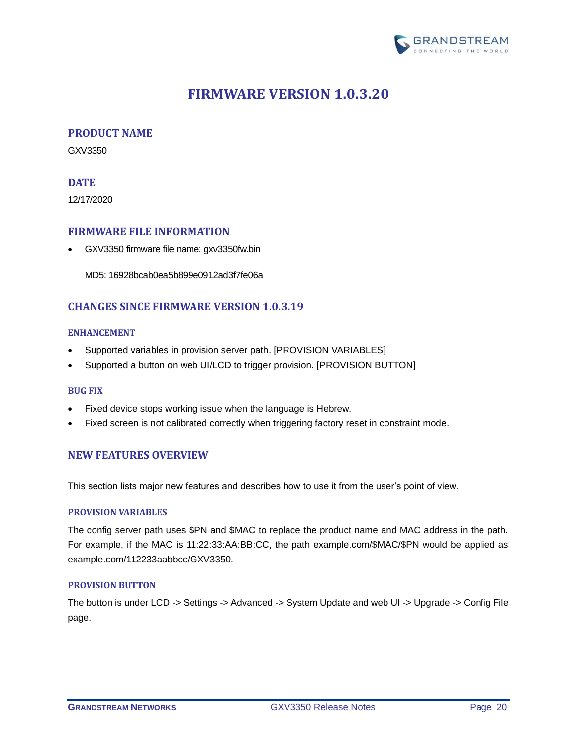

## <span id="page-19-1"></span><span id="page-19-0"></span>**PRODUCT NAME**

GXV3350

## <span id="page-19-2"></span>**DATE**

12/17/2020

## <span id="page-19-3"></span>**FIRMWARE FILE INFORMATION**

• GXV3350 firmware file name: gxv3350fw.bin

MD5: 16928bcab0ea5b899e0912ad3f7fe06a

## <span id="page-19-4"></span>**CHANGES SINCE FIRMWARE VERSION 1.0.3.19**

## <span id="page-19-5"></span>**ENHANCEMENT**

- Supported variables in provision server path. [\[PROVISION VARIABLES\]](#page-19-8)
- <span id="page-19-6"></span>Supported a button on web UI/LCD to trigger provision. [\[PROVISION BUTTON\]](#page-19-9)

#### **BUG FIX**

- Fixed device stops working issue when the language is Hebrew.
- <span id="page-19-7"></span>• Fixed screen is not calibrated correctly when triggering factory reset in constraint mode.

## **NEW FEATURES OVERVIEW**

This section lists major new features and describes how to use it from the user's point of view.

#### <span id="page-19-8"></span>**PROVISION VARIABLES**

The config server path uses \$PN and \$MAC to replace the product name and MAC address in the path. For example, if the MAC is 11:22:33:AA:BB:CC, the path example.com/\$MAC/\$PN would be applied as example.com/112233aabbcc/GXV3350.

## <span id="page-19-9"></span>**PROVISION BUTTON**

The button is under LCD -> Settings -> Advanced -> System Update and web UI -> Upgrade -> Config File page.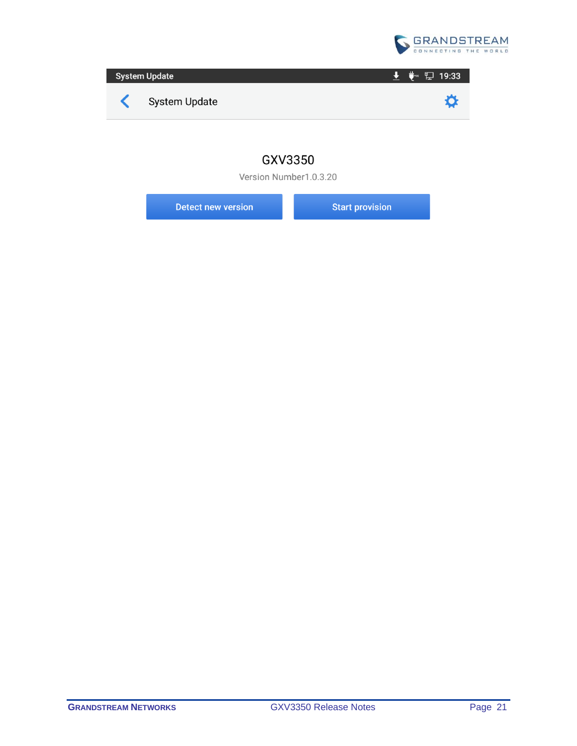

| System Update        | $\frac{1}{2}$ $\frac{1}{2}$ ( $\frac{1}{2}$ 19:33) |
|----------------------|----------------------------------------------------|
| <b>System Update</b> | O                                                  |

# GXV3350

Version Number1.0.3.20

**Detect new version** 

**Start provision**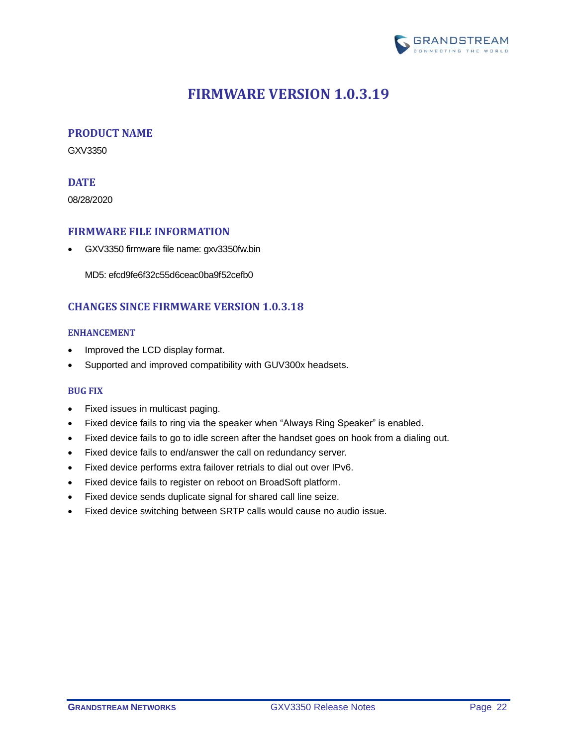

## <span id="page-21-1"></span><span id="page-21-0"></span>**PRODUCT NAME**

GXV3350

# <span id="page-21-2"></span>**DATE**

08/28/2020

## <span id="page-21-3"></span>**FIRMWARE FILE INFORMATION**

• GXV3350 firmware file name: gxv3350fw.bin

MD5: efcd9fe6f32c55d6ceac0ba9f52cefb0

## <span id="page-21-4"></span>**CHANGES SINCE FIRMWARE VERSION 1.0.3.18**

## <span id="page-21-5"></span>**ENHANCEMENT**

- Improved the LCD display format.
- <span id="page-21-6"></span>• Supported and improved compatibility with GUV300x headsets.

#### **BUG FIX**

- Fixed issues in multicast paging.
- Fixed device fails to ring via the speaker when "Always Ring Speaker" is enabled.
- Fixed device fails to go to idle screen after the handset goes on hook from a dialing out.
- Fixed device fails to end/answer the call on redundancy server.
- Fixed device performs extra failover retrials to dial out over IPv6.
- Fixed device fails to register on reboot on BroadSoft platform.
- Fixed device sends duplicate signal for shared call line seize.
- Fixed device switching between SRTP calls would cause no audio issue.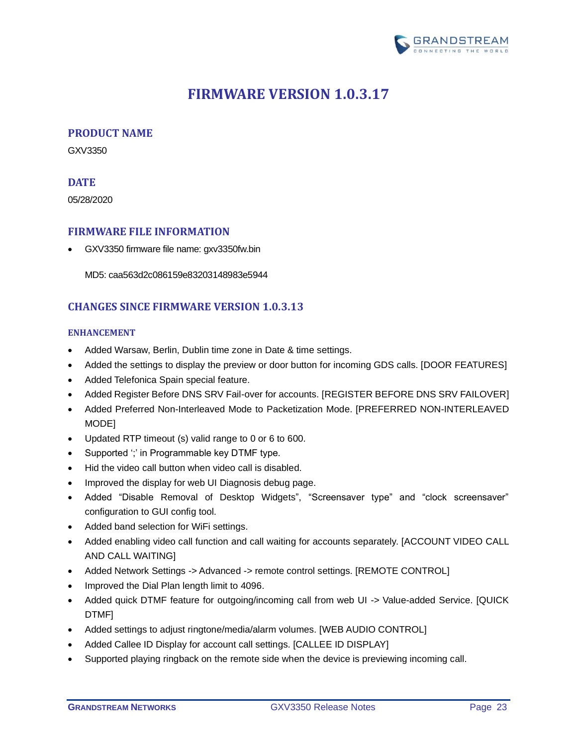

## <span id="page-22-1"></span><span id="page-22-0"></span>**PRODUCT NAME**

GXV3350

# <span id="page-22-2"></span>**DATE**

05/28/2020

## <span id="page-22-3"></span>**FIRMWARE FILE INFORMATION**

• GXV3350 firmware file name: gxv3350fw.bin

MD5: caa563d2c086159e83203148983e5944

## <span id="page-22-4"></span>**CHANGES SINCE FIRMWARE VERSION 1.0.3.13**

## <span id="page-22-5"></span>**ENHANCEMENT**

- Added Warsaw, Berlin, Dublin time zone in Date & time settings.
- Added the settings to display the preview or door button for incoming GDS calls. [\[DOOR FEATURES\]](#page-24-1)
- Added Telefonica Spain special feature.
- Added Register Before DNS SRV Fail-over for accounts. [\[REGISTER BEFORE DNS SRV FAILOVER\]](#page-24-2)
- Added Preferred Non-Interleaved Mode to Packetization Mode. [\[PREFERRED NON-INTERLEAVED](#page-24-3)  [MODE\]](#page-24-3)
- Updated RTP timeout (s) valid range to 0 or 6 to 600.
- Supported ';' in Programmable key DTMF type.
- Hid the video call button when video call is disabled.
- Improved the display for web UI Diagnosis debug page.
- Added "Disable Removal of Desktop Widgets", "Screensaver type" and "clock screensaver" configuration to GUI config tool.
- Added band selection for WiFi settings.
- Added enabling video call function and call waiting for accounts separately. [\[ACCOUNT VIDEO CALL](#page-24-4)  [AND CALL WAITING\]](#page-24-4)
- Added Network Settings -> Advanced -> remote control settings. [\[REMOTE CONTROL\]](#page-27-1)
- Improved the Dial Plan length limit to 4096.
- Added quick DTMF feature for outgoing/incoming call from web UI -> Value-added Service. [QUICK [DTMF\]](#page-25-0)
- Added settings to adjust ringtone/media/alarm volumes. [\[WEB AUDIO CONTROL\]](#page-26-0)
- Added Callee ID Display for account call settings. [\[CALLEE ID DISPLAY\]](#page-26-1)
- Supported playing ringback on the remote side when the device is previewing incoming call.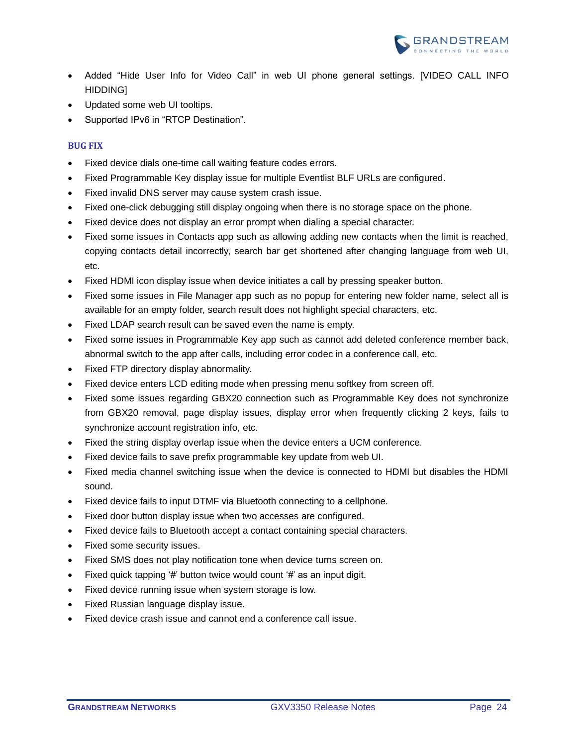

- Added "Hide User Info for Video Call" in web UI phone general settings. [\[VIDEO CALL INFO](#page-27-0)  [HIDDING\]](#page-27-0)
- Updated some web UI tooltips.
- <span id="page-23-0"></span>• Supported IPv6 in "RTCP Destination".

### **BUG FIX**

- Fixed device dials one-time call waiting feature codes errors.
- Fixed Programmable Key display issue for multiple Eventlist BLF URLs are configured.
- Fixed invalid DNS server may cause system crash issue.
- Fixed one-click debugging still display ongoing when there is no storage space on the phone.
- Fixed device does not display an error prompt when dialing a special character.
- Fixed some issues in Contacts app such as allowing adding new contacts when the limit is reached, copying contacts detail incorrectly, search bar get shortened after changing language from web UI, etc.
- Fixed HDMI icon display issue when device initiates a call by pressing speaker button.
- Fixed some issues in File Manager app such as no popup for entering new folder name, select all is available for an empty folder, search result does not highlight special characters, etc.
- Fixed LDAP search result can be saved even the name is empty.
- Fixed some issues in Programmable Key app such as cannot add deleted conference member back, abnormal switch to the app after calls, including error codec in a conference call, etc.
- Fixed FTP directory display abnormality.
- Fixed device enters LCD editing mode when pressing menu softkey from screen off.
- Fixed some issues regarding GBX20 connection such as Programmable Key does not synchronize from GBX20 removal, page display issues, display error when frequently clicking 2 keys, fails to synchronize account registration info, etc.
- Fixed the string display overlap issue when the device enters a UCM conference.
- Fixed device fails to save prefix programmable key update from web UI.
- Fixed media channel switching issue when the device is connected to HDMI but disables the HDMI sound.
- Fixed device fails to input DTMF via Bluetooth connecting to a cellphone.
- Fixed door button display issue when two accesses are configured.
- Fixed device fails to Bluetooth accept a contact containing special characters.
- Fixed some security issues.
- Fixed SMS does not play notification tone when device turns screen on.
- Fixed quick tapping '#' button twice would count '#' as an input digit.
- Fixed device running issue when system storage is low.
- Fixed Russian language display issue.
- Fixed device crash issue and cannot end a conference call issue.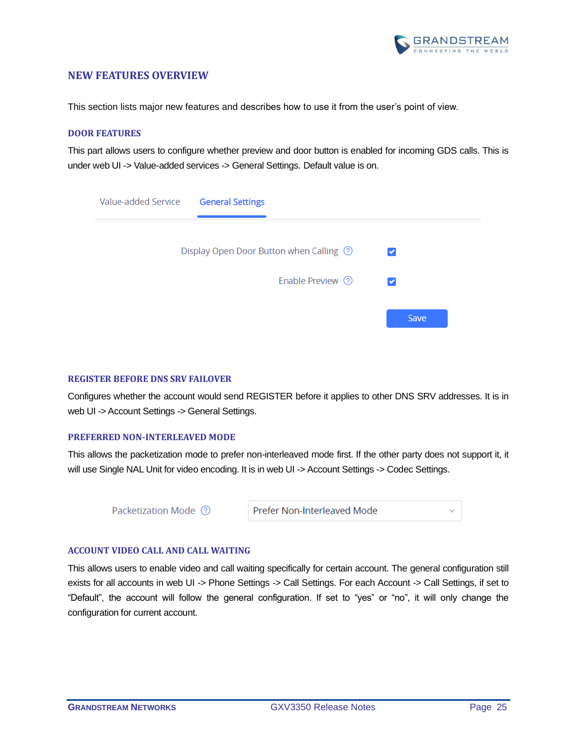

## <span id="page-24-0"></span>**NEW FEATURES OVERVIEW**

This section lists major new features and describes how to use it from the user's point of view.

#### <span id="page-24-1"></span>**DOOR FEATURES**

This part allows users to configure whether preview and door button is enabled for incoming GDS calls. This is under web UI -> Value-added services -> General Settings. Default value is on.

| Value-added Service | <b>General Settings</b>                 |      |  |
|---------------------|-----------------------------------------|------|--|
|                     |                                         |      |  |
|                     | Display Open Door Button when Calling ② | ✔    |  |
|                     | Enable Preview ②                        | ✓    |  |
|                     |                                         |      |  |
|                     |                                         | Save |  |

### <span id="page-24-2"></span>**REGISTER BEFORE DNS SRV FAILOVER**

Configures whether the account would send REGISTER before it applies to other DNS SRV addresses. It is in web UI -> Account Settings -> General Settings.

#### <span id="page-24-3"></span>**PREFERRED NON-INTERLEAVED MODE**

This allows the packetization mode to prefer non-interleaved mode first. If the other party does not support it, it will use Single NAL Unit for video encoding. It is in web UI -> Account Settings -> Codec Settings.

Packetization Mode (?)

Prefer Non-Interleaved Mode

### <span id="page-24-4"></span>**ACCOUNT VIDEO CALL AND CALL WAITING**

This allows users to enable video and call waiting specifically for certain account. The general configuration still exists for all accounts in web UI -> Phone Settings -> Call Settings. For each Account -> Call Settings, if set to "Default", the account will follow the general configuration. If set to "yes" or "no", it will only change the configuration for current account.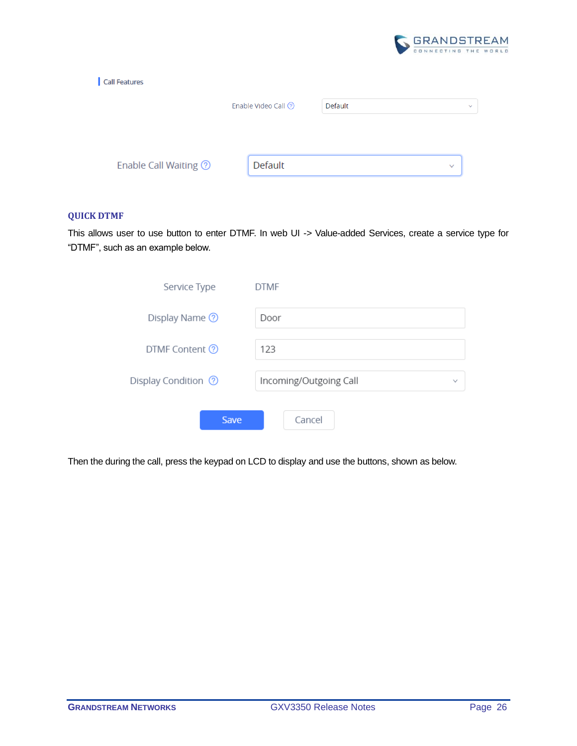

| <b>Call Features</b>  |                     |         |              |
|-----------------------|---------------------|---------|--------------|
|                       | Enable Video Call 2 | Default | $\checkmark$ |
|                       |                     |         |              |
|                       |                     |         |              |
| Enable Call Waiting 2 | Default             |         | $\checkmark$ |

#### <span id="page-25-0"></span>**QUICK DTMF**

This allows user to use button to enter DTMF. In web UI -> Value-added Services, create a service type for "DTMF", such as an example below.

| Service Type                   | DTMF                                   |
|--------------------------------|----------------------------------------|
| Display Name 2                 | Door                                   |
| DTMF Content 2                 | 123                                    |
| Display Condition <sup>7</sup> | Incoming/Outgoing Call<br>$\checkmark$ |
| Save                           | Cancel                                 |

Then the during the call, press the keypad on LCD to display and use the buttons, shown as below.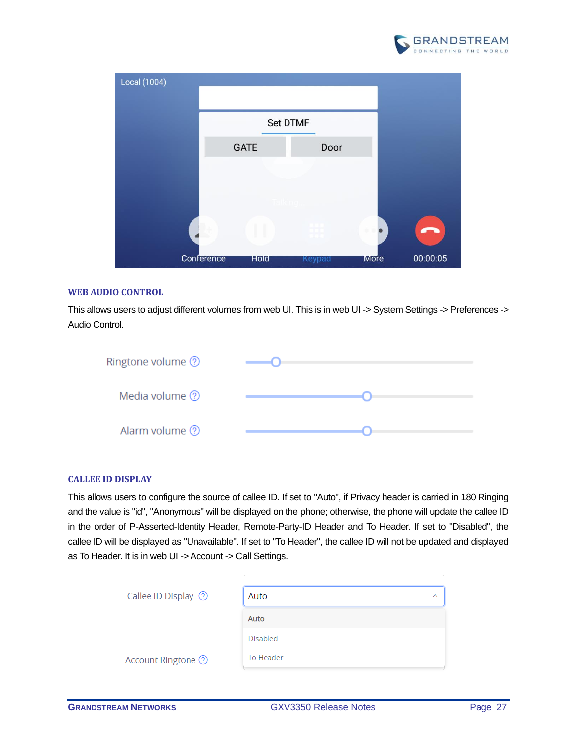

| Local (1004) |             |          |        |             |          |
|--------------|-------------|----------|--------|-------------|----------|
|              |             | Set DTMF |        |             |          |
|              | <b>GATE</b> |          | Door   |             |          |
|              |             |          |        |             |          |
|              |             |          |        |             |          |
|              |             |          |        | ٠           |          |
|              | Conference  | Hold     | Keypad | <b>More</b> | 00:00:05 |

#### <span id="page-26-0"></span>**WEB AUDIO CONTROL**

This allows users to adjust different volumes from web UI. This is in web UI -> System Settings -> Preferences -> Audio Control.

| Ringtone volume ② |  |
|-------------------|--|
| Media volume 2    |  |
| Alarm volume 2    |  |

#### <span id="page-26-1"></span>**CALLEE ID DISPLAY**

This allows users to configure the source of callee ID. If set to "Auto", if Privacy header is carried in 180 Ringing and the value is "id", "Anonymous" will be displayed on the phone; otherwise, the phone will update the callee ID in the order of P-Asserted-Identity Header, Remote-Party-ID Header and To Header. If set to "Disabled", the callee ID will be displayed as "Unavailable". If set to "To Header", the callee ID will not be updated and displayed as To Header. It is in web UI -> Account -> Call Settings.

| Callee ID Display ② | Auto            |  |
|---------------------|-----------------|--|
|                     | Auto            |  |
|                     | <b>Disabled</b> |  |
| Account Ringtone 2  | To Header       |  |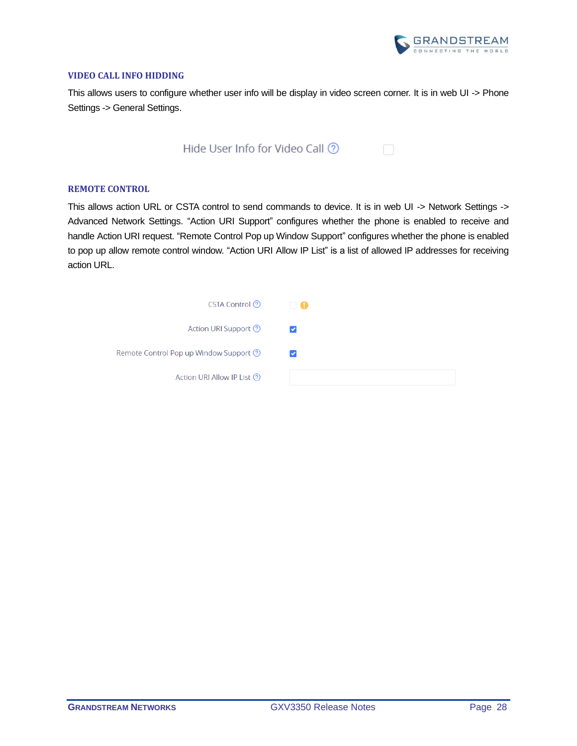

#### <span id="page-27-0"></span>**VIDEO CALL INFO HIDDING**

This allows users to configure whether user info will be display in video screen corner. It is in web UI -> Phone Settings -> General Settings.

Hide User Info for Video Call (?)

#### <span id="page-27-1"></span>**REMOTE CONTROL**

This allows action URL or CSTA control to send commands to device. It is in web UI -> Network Settings -> Advanced Network Settings. "Action URI Support" configures whether the phone is enabled to receive and handle Action URI request. "Remote Control Pop up Window Support" configures whether the phone is enabled to pop up allow remote control window. "Action URI Allow IP List" is a list of allowed IP addresses for receiving action URL.

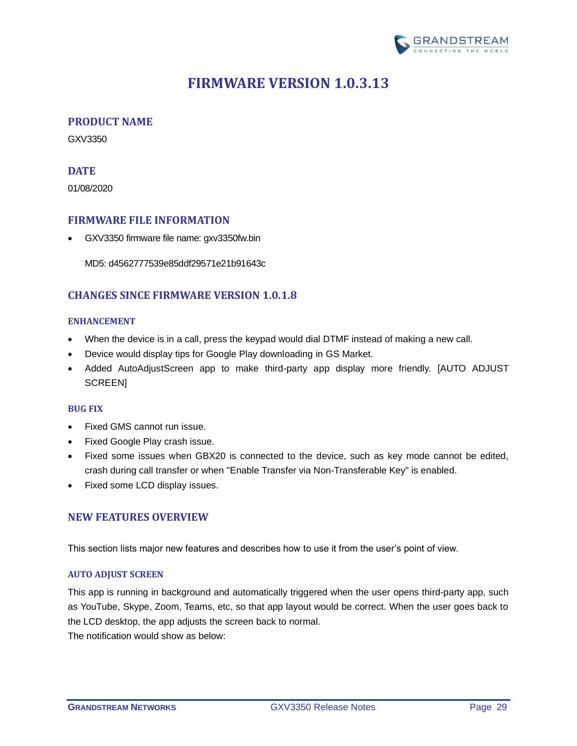

## <span id="page-28-1"></span><span id="page-28-0"></span>**PRODUCT NAME**

GXV3350

## <span id="page-28-2"></span>**DATE**

01/08/2020

## <span id="page-28-3"></span>**FIRMWARE FILE INFORMATION**

• GXV3350 firmware file name: gxv3350fw.bin

MD5: d4562777539e85ddf29571e21b91643c

## <span id="page-28-4"></span>**CHANGES SINCE FIRMWARE VERSION 1.0.1.8**

#### <span id="page-28-5"></span>**ENHANCEMENT**

- When the device is in a call, press the keypad would dial DTMF instead of making a new call.
- Device would display tips for Google Play downloading in GS Market.
- Added AutoAdjustScreen app to make third-party app display more friendly. [\[AUTO ADJUST](#page-28-8)  [SCREEN\]](#page-28-8)

## <span id="page-28-6"></span>**BUG FIX**

- Fixed GMS cannot run issue.
- Fixed Google Play crash issue.
- Fixed some issues when GBX20 is connected to the device, such as key mode cannot be edited, crash during call transfer or when "Enable Transfer via Non-Transferable Key" is enabled.
- <span id="page-28-7"></span>• Fixed some LCD display issues.

## **NEW FEATURES OVERVIEW**

This section lists major new features and describes how to use it from the user's point of view.

#### <span id="page-28-8"></span>**AUTO ADJUST SCREEN**

This app is running in background and automatically triggered when the user opens third-party app, such as YouTube, Skype, Zoom, Teams, etc, so that app layout would be correct. When the user goes back to the LCD desktop, the app adjusts the screen back to normal.

The notification would show as below: